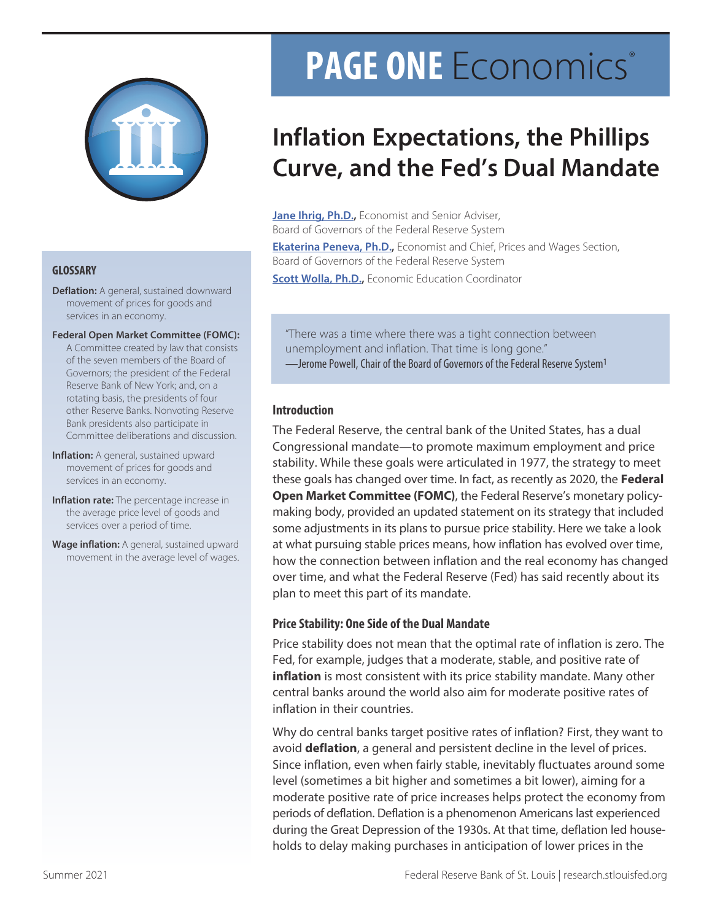

- **Deflation:** A general, sustained downward movement of prices for goods and services in an economy.
- **Federal Open Market Committee (FOMC):**

A Committee created by law that consists of the seven members of the Board of Governors; the president of the Federal Reserve Bank of New York; and, on a rotating basis, the presidents of four other Reserve Banks. Nonvoting Reserve Bank presidents also participate in Committee deliberations and discussion.

- **Inflation:** A general, sustained upward movement of prices for goods and services in an economy.
- **Inflation rate:** The percentage increase in the average price level of goods and services over a period of time.
- **Wage inflation:** A general, sustained upward movement in the average level of wages.

# **PAGE ONE** Economics®

## **Inflation Expectations, the Phillips Curve, and the Fed's Dual Mandate**

**[Jane Ihrig, Ph.D.](https://www.federalreserve.gov/econres/jane-e-ihrig.htm),** Economist and Senior Adviser, Board of Governors of the Federal Reserve System

**[Ekaterina Peneva, Ph.D.,](https://www.federalreserve.gov/econres/ekaterina-peneva.htm)** Economist and Chief, Prices and Wages Section, Board of Governors of the Federal Reserve System

**[Scott Wolla, Ph.D.](https://research.stlouisfed.org/staff/wolla),** Economic Education Coordinator **GLOSSARY**

"There was a time where there was a tight connection between unemployment and inflation. That time is long gone." —Jerome Powell, Chair of the Board of Governors of the Federal Reserve System1

#### **Introduction**

The Federal Reserve, the central bank of the United States, has a dual Congressional mandate—to promote maximum employment and price stability. While these goals were articulated in 1977, the strategy to meet these goals has changed over time. In fact, as recently as 2020, the **Federal Open Market Committee (FOMC)**, the Federal Reserve's monetary policymaking body, provided an updated statement on its strategy that included some adjustments in its plans to pursue price stability. Here we take a look at what pursuing stable prices means, how inflation has evolved over time, how the connection between inflation and the real economy has changed over time, and what the Federal Reserve (Fed) has said recently about its plan to meet this part of its mandate.

#### **Price Stability: One Side of the Dual Mandate**

Price stability does not mean that the optimal rate of inflation is zero. The Fed, for example, judges that a moderate, stable, and positive rate of **inflation** is most consistent with its price stability mandate. Many other central banks around the world also aim for moderate positive rates of inflation in their countries.

Why do central banks target positive rates of inflation? First, they want to avoid **deflation**, a general and persistent decline in the level of prices. Since inflation, even when fairly stable, inevitably fluctuates around some level (sometimes a bit higher and sometimes a bit lower), aiming for a moderate positive rate of price increases helps protect the economy from periods of deflation. Deflation is a phenomenon Americans last experienced during the Great Depression of the 1930s. At that time, deflation led households to delay making purchases in anticipation of lower prices in the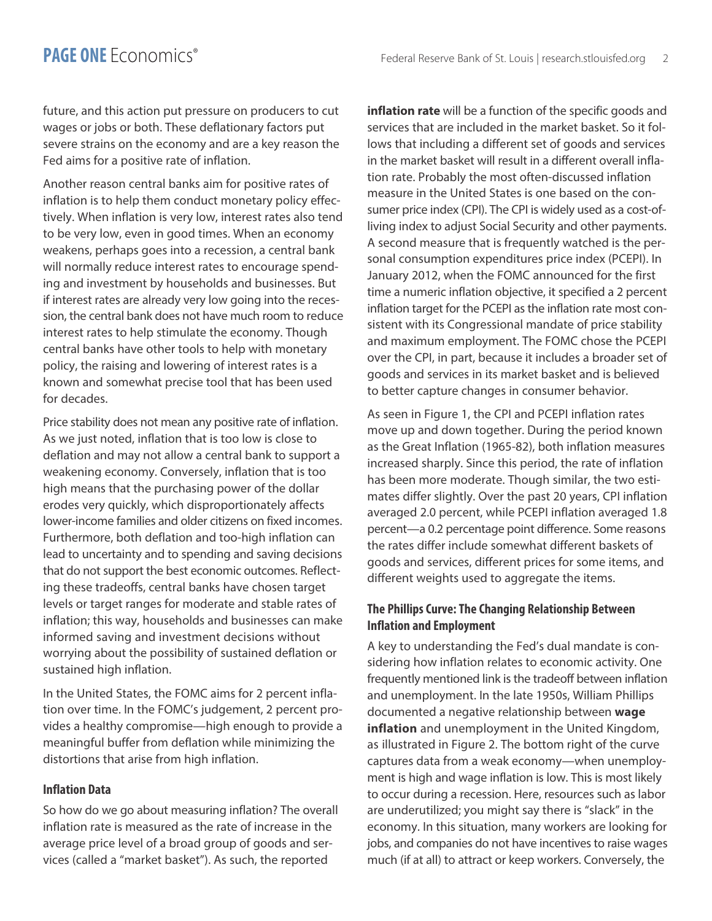future, and this action put pressure on producers to cut wages or jobs or both. These deflationary factors put severe strains on the economy and are a key reason the Fed aims for a positive rate of inflation.

Another reason central banks aim for positive rates of inflation is to help them conduct monetary policy effectively. When inflation is very low, interest rates also tend to be very low, even in good times. When an economy weakens, perhaps goes into a recession, a central bank will normally reduce interest rates to encourage spending and investment by households and businesses. But if interest rates are already very low going into the recession, the central bank does not have much room to reduce interest rates to help stimulate the economy. Though central banks have other tools to help with monetary policy, the raising and lowering of interest rates is a known and somewhat precise tool that has been used for decades.

Price stability does not mean any positive rate of inflation. As we just noted, inflation that is too low is close to deflation and may not allow a central bank to support a weakening economy. Conversely, inflation that is too high means that the purchasing power of the dollar erodes very quickly, which disproportionately affects lower-income families and older citizens on fixed incomes. Furthermore, both deflation and too-high inflation can lead to uncertainty and to spending and saving decisions that do not support the best economic outcomes. Reflecting these tradeoffs, central banks have chosen target levels or target ranges for moderate and stable rates of inflation; this way, households and businesses can make informed saving and investment decisions without worrying about the possibility of sustained deflation or sustained high inflation.

In the United States, the FOMC aims for 2 percent inflation over time. In the FOMC's judgement, 2 percent provides a healthy compromise—high enough to provide a meaningful buffer from deflation while minimizing the distortions that arise from high inflation.

#### **Inflation Data**

So how do we go about measuring inflation? The overall inflation rate is measured as the rate of increase in the average price level of a broad group of goods and services (called a "market basket"). As such, the reported

**inflation rate** will be a function of the specific goods and services that are included in the market basket. So it follows that including a different set of goods and services in the market basket will result in a different overall inflation rate. Probably the most often-discussed inflation measure in the United States is one based on the consumer price index (CPI). The CPI is widely used as a cost-ofliving index to adjust Social Security and other payments. A second measure that is frequently watched is the personal consumption expenditures price index (PCEPI). In January 2012, when the FOMC announced for the first time a numeric inflation objective, it specified a 2 percent inflation target for the PCEPI as the inflation rate most consistent with its Congressional mandate of price stability and maximum employment. The FOMC chose the PCEPI over the CPI, in part, because it includes a broader set of goods and services in its market basket and is believed to better capture changes in consumer behavior.

As seen in Figure 1, the CPI and PCEPI inflation rates move up and down together. During the period known as the Great Inflation (1965-82), both inflation measures increased sharply. Since this period, the rate of inflation has been more moderate. Though similar, the two estimates differ slightly. Over the past 20 years, CPI inflation averaged 2.0 percent, while PCEPI inflation averaged 1.8 percent—a 0.2 percentage point difference. Some reasons the rates differ include somewhat different baskets of goods and services, different prices for some items, and different weights used to aggregate the items.

### **The Phillips Curve: The Changing Relationship Between Inflation and Employment**

A key to understanding the Fed's dual mandate is considering how inflation relates to economic activity. One frequently mentioned link is the tradeoff between inflation and unemployment. In the late 1950s, William Phillips documented a negative relationship between **wage inflation** and unemployment in the United Kingdom, as illustrated in Figure 2. The bottom right of the curve captures data from a weak economy—when unemployment is high and wage inflation is low. This is most likely to occur during a recession. Here, resources such as labor are underutilized; you might say there is "slack" in the economy. In this situation, many workers are looking for jobs, and companies do not have incentives to raise wages much (if at all) to attract or keep workers. Conversely, the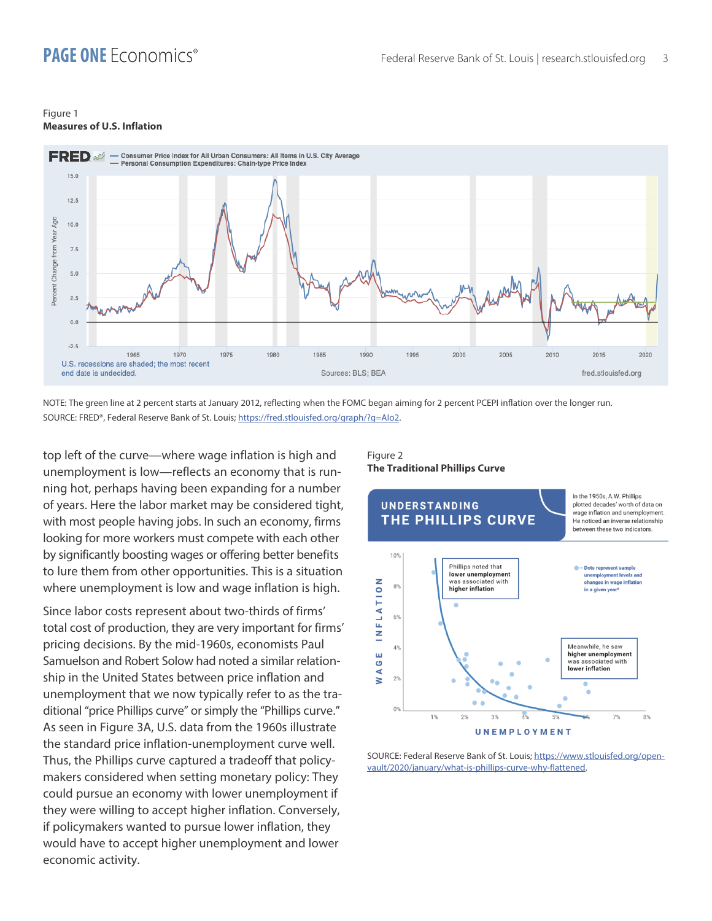#### Figure 1 **Measures of U.S. Inflation**



NOTE: The green line at 2 percent starts at January 2012, reflecting when the FOMC began aiming for 2 percent PCEPI inflation over the longer run. SOURCE: FRED®, Federal Reserve Bank of St. Louis; <https://fred.stlouisfed.org/graph/?g=AIo2>.

top left of the curve—where wage inflation is high and unemployment is low—reflects an economy that is running hot, perhaps having been expanding for a number of years. Here the labor market may be considered tight, with most people having jobs. In such an economy, firms looking for more workers must compete with each other by significantly boosting wages or offering better benefits to lure them from other opportunities. This is a situation where unemployment is low and wage inflation is high.

Since labor costs represent about two-thirds of firms' total cost of production, they are very important for firms' pricing decisions. By the mid-1960s, economists Paul Samuelson and Robert Solow had noted a similar relationship in the United States between price inflation and unemployment that we now typically refer to as the traditional "price Phillips curve" or simply the "Phillips curve." As seen in Figure 3A, U.S. data from the 1960s illustrate the standard price inflation-unemployment curve well. Thus, the Phillips curve captured a tradeoff that policymakers considered when setting monetary policy: They could pursue an economy with lower unemployment if they were willing to accept higher inflation. Conversely, if policymakers wanted to pursue lower inflation, they would have to accept higher unemployment and lower economic activity.

#### Figure 2 **The Traditional Phillips Curve**



SOURCE: Federal Reserve Bank of St. Louis; [https://www.stlouisfed.org/open](https://www.stlouisfed.org/open-vault/2020/january/what-is-phillips-curve-why-flattened)[vault/2020/january/what-is-phillips-curve-why-flattened](https://www.stlouisfed.org/open-vault/2020/january/what-is-phillips-curve-why-flattened).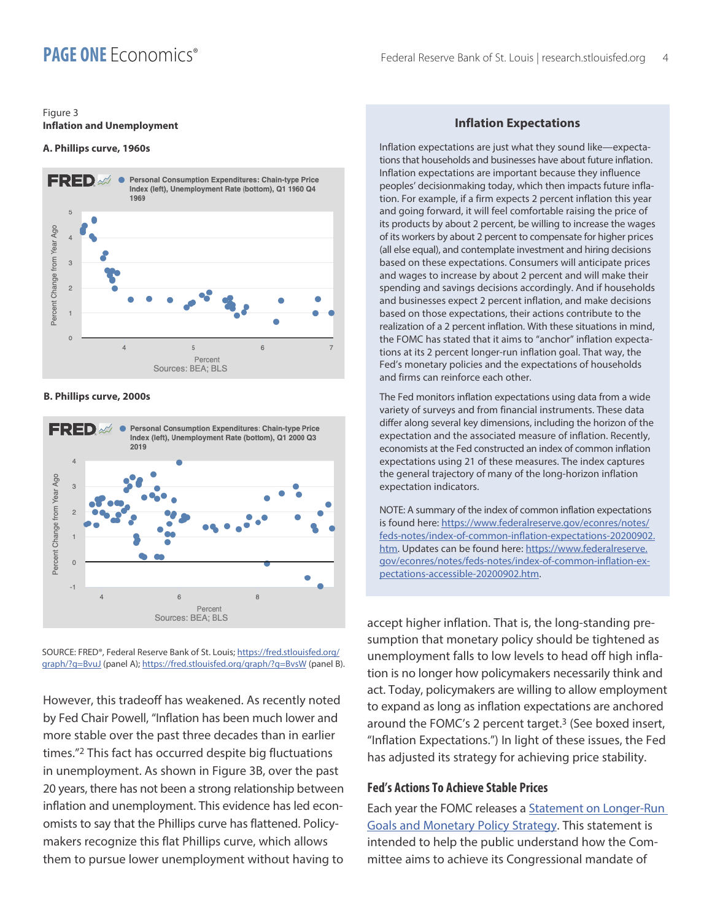#### Figure 3 **Inflation and Unemployment**

#### **A. Phillips curve, 1960s**



#### **B. Phillips curve, 2000s**



SOURCE: FRED®, Federal Reserve Bank of St. Louis; [https://fred.stlouisfed.org/](https://fred.stlouisfed.org/graph/?g=BvuJ) [graph/?g=BvuJ](https://fred.stlouisfed.org/graph/?g=BvuJ) (panel A);<https://fred.stlouisfed.org/graph/?g=BvsW>(panel B).

However, this tradeoff has weakened. As recently noted by Fed Chair Powell, "Inflation has been much lower and more stable over the past three decades than in earlier times."2 This fact has occurred despite big fluctuations in unemployment. As shown in Figure 3B, over the past 20 years, there has not been a strong relationship between inflation and unemployment. This evidence has led economists to say that the Phillips curve has flattened. Policymakers recognize this flat Phillips curve, which allows them to pursue lower unemployment without having to

#### **Inflation Expectations**

Inflation expectations are just what they sound like—expectations that households and businesses have about future inflation. Inflation expectations are important because they influence peoples' decisionmaking today, which then impacts future inflation. For example, if a firm expects 2 percent inflation this year and going forward, it will feel comfortable raising the price of its products by about 2 percent, be willing to increase the wages of its workers by about 2 percent to compensate for higher prices (all else equal), and contemplate investment and hiring decisions based on these expectations. Consumers will anticipate prices and wages to increase by about 2 percent and will make their spending and savings decisions accordingly. And if households and businesses expect 2 percent inflation, and make decisions based on those expectations, their actions contribute to the realization of a 2 percent inflation. With these situations in mind, the FOMC has stated that it aims to "anchor" inflation expectations at its 2 percent longer-run inflation goal. That way, the Fed's monetary policies and the expectations of households and firms can reinforce each other.

The Fed monitors inflation expectations using data from a wide variety of surveys and from financial instruments. These data differ along several key dimensions, including the horizon of the expectation and the associated measure of inflation. Recently, economists at the Fed constructed an index of common inflation expectations using 21 of these measures. The index captures the general trajectory of many of the long-horizon inflation expectation indicators.

NOTE: A summary of the index of common inflation expectations is found here: [https://www.federalreserve.gov/econres/notes/](https://www.federalreserve.gov/econres/notes/feds-notes/index-of-common-inflation-expectations-20200902.htm) [feds-notes/index-of-common-inflation-expectations-20200902.](https://www.federalreserve.gov/econres/notes/feds-notes/index-of-common-inflation-expectations-20200902.htm) [htm.](https://www.federalreserve.gov/econres/notes/feds-notes/index-of-common-inflation-expectations-20200902.htm) Updates can be found here: [https://www.federalreserve.](https://www.federalreserve.gov/econres/notes/feds-notes/index-of-common-inflation-expectations-accessible-20200902.htm) [gov/econres/notes/feds-notes/index-of-common-inflation-ex](https://www.federalreserve.gov/econres/notes/feds-notes/index-of-common-inflation-expectations-accessible-20200902.htm)[pectations-accessible-20200902.htm.](https://www.federalreserve.gov/econres/notes/feds-notes/index-of-common-inflation-expectations-accessible-20200902.htm)

accept higher inflation. That is, the long-standing presumption that monetary policy should be tightened as unemployment falls to low levels to head off high inflation is no longer how policymakers necessarily think and act. Today, policymakers are willing to allow employment to expand as long as inflation expectations are anchored around the FOMC's 2 percent target.<sup>3</sup> (See boxed insert, "Inflation Expectations.") In light of these issues, the Fed has adjusted its strategy for achieving price stability.

#### **Fed's Actions To Achieve Stable Prices**

Each year the FOMC releases a [Statement on Longer-Run](https://www.federalreserve.gov/monetarypolicy/review-of-monetary-policy-strategy-tools-and-communications-statement-on-longer-run-goals-monetary-policy-strategy.htm)  [Goals and Monetary Policy Strategy](https://www.federalreserve.gov/monetarypolicy/review-of-monetary-policy-strategy-tools-and-communications-statement-on-longer-run-goals-monetary-policy-strategy.htm). This statement is intended to help the public understand how the Committee aims to achieve its Congressional mandate of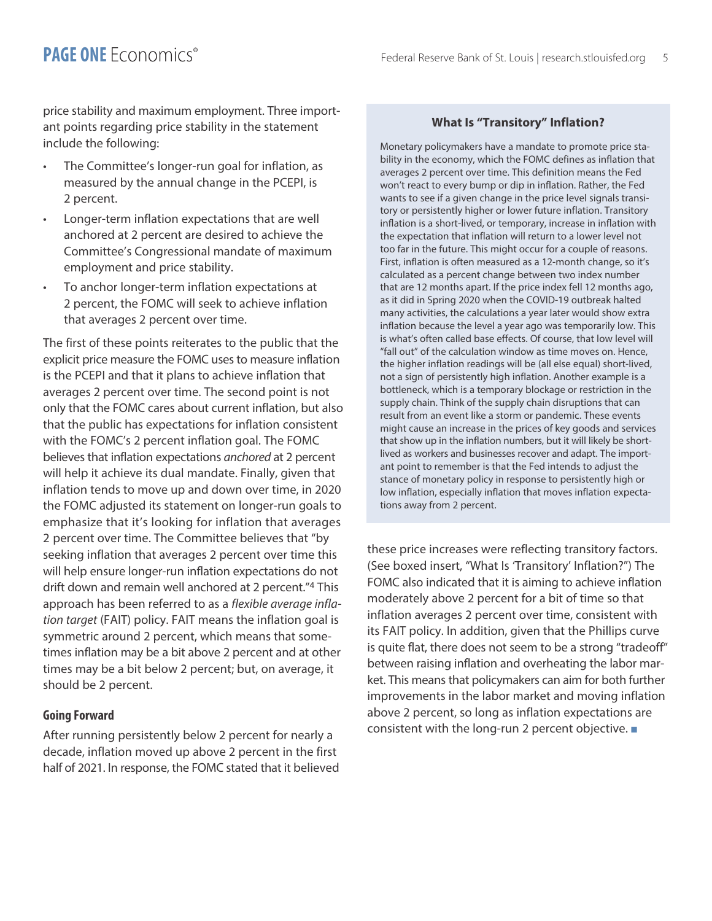price stability and maximum employment. Three important points regarding price stability in the statement include the following:

- The Committee's longer-run goal for inflation, as measured by the annual change in the PCEPI, is 2 percent.
- Longer-term inflation expectations that are well anchored at 2 percent are desired to achieve the Committee's Congressional mandate of maximum employment and price stability.
- To anchor longer-term inflation expectations at 2 percent, the FOMC will seek to achieve inflation that averages 2 percent over time.

The first of these points reiterates to the public that the explicit price measure the FOMC uses to measure inflation is the PCEPI and that it plans to achieve inflation that averages 2 percent over time. The second point is not only that the FOMC cares about current inflation, but also that the public has expectations for inflation consistent with the FOMC's 2 percent inflation goal. The FOMC believes that inflation expectations *anchored* at 2 percent will help it achieve its dual mandate. Finally, given that inflation tends to move up and down over time, in 2020 the FOMC adjusted its statement on longer-run goals to emphasize that it's looking for inflation that averages 2 percent over time. The Committee believes that "by seeking inflation that averages 2 percent over time this will help ensure longer-run inflation expectations do not drift down and remain well anchored at 2 percent."4 This approach has been referred to as a *flexible average inflation target* (FAIT) policy. FAIT means the inflation goal is symmetric around 2 percent, which means that sometimes inflation may be a bit above 2 percent and at other times may be a bit below 2 percent; but, on average, it should be 2 percent.

#### **Going Forward**

After running persistently below 2 percent for nearly a decade, inflation moved up above 2 percent in the first half of 2021. In response, the FOMC stated that it believed

#### **What Is "Transitory" Inflation?**

Monetary policymakers have a mandate to promote price stability in the economy, which the FOMC defines as inflation that averages 2 percent over time. This definition means the Fed won't react to every bump or dip in inflation. Rather, the Fed wants to see if a given change in the price level signals transitory or persistently higher or lower future inflation. Transitory inflation is a short-lived, or temporary, increase in inflation with the expectation that inflation will return to a lower level not too far in the future. This might occur for a couple of reasons. First, inflation is often measured as a 12-month change, so it's calculated as a percent change between two index number that are 12 months apart. If the price index fell 12 months ago, as it did in Spring 2020 when the COVID-19 outbreak halted many activities, the calculations a year later would show extra inflation because the level a year ago was temporarily low. This is what's often called base effects. Of course, that low level will "fall out" of the calculation window as time moves on. Hence, the higher inflation readings will be (all else equal) short-lived, not a sign of persistently high inflation. Another example is a bottleneck, which is a temporary blockage or restriction in the supply chain. Think of the supply chain disruptions that can result from an event like a storm or pandemic. These events might cause an increase in the prices of key goods and services that show up in the inflation numbers, but it will likely be shortlived as workers and businesses recover and adapt. The important point to remember is that the Fed intends to adjust the stance of monetary policy in response to persistently high or low inflation, especially inflation that moves inflation expectations away from 2 percent.

these price increases were reflecting transitory factors. (See boxed insert, "What Is 'Transitory' Inflation?") The FOMC also indicated that it is aiming to achieve inflation moderately above 2 percent for a bit of time so that inflation averages 2 percent over time, consistent with its FAIT policy. In addition, given that the Phillips curve is quite flat, there does not seem to be a strong "tradeoff" between raising inflation and overheating the labor market. This means that policymakers can aim for both further improvements in the labor market and moving inflation above 2 percent, so long as inflation expectations are consistent with the long-run 2 percent objective.  $\blacksquare$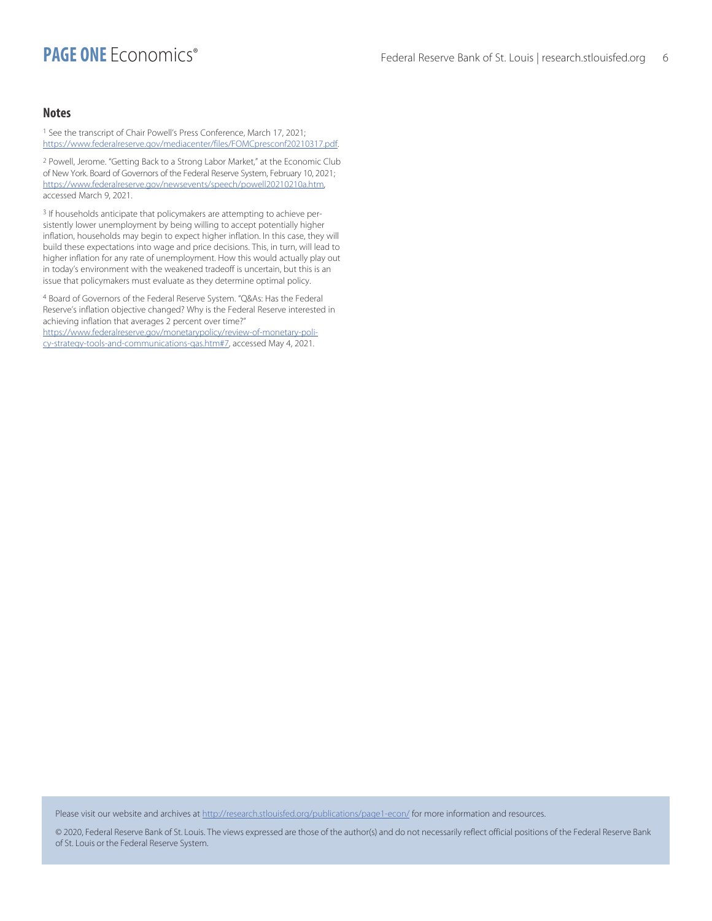#### **Notes**

1 See the transcript of Chair Powell's Press Conference, March 17, 2021; <https://www.federalreserve.gov/mediacenter/files/FOMCpresconf20210317.pdf>.

2 Powell, Jerome. "Getting Back to a Strong Labor Market," at the Economic Club of New York. Board of Governors of the Federal Reserve System, February 10, 2021; [https://www.federalreserve.gov/newsevents/speech/powell20210210a.htm,](https://www.federalreserve.gov/newsevents/speech/powell20210210a.htm) accessed March 9, 2021.

3 If households anticipate that policymakers are attempting to achieve persistently lower unemployment by being willing to accept potentially higher inflation, households may begin to expect higher inflation. In this case, they will build these expectations into wage and price decisions. This, in turn, will lead to higher inflation for any rate of unemployment. How this would actually play out in today's environment with the weakened tradeoff is uncertain, but this is an issue that policymakers must evaluate as they determine optimal policy.

4 Board of Governors of the Federal Reserve System. "Q&As: Has the Federal Reserve's inflation objective changed? Why is the Federal Reserve interested in achieving inflation that averages 2 percent over time?" [https://www.federalreserve.gov/monetarypolicy/review-of-monetary-poli](https://www.federalreserve.gov/monetarypolicy/review-of-monetary-policy-strategy-tools-and-communications-qas.htm#7)[cy-strategy-tools-and-communications-qas.htm#7,](https://www.federalreserve.gov/monetarypolicy/review-of-monetary-policy-strategy-tools-and-communications-qas.htm#7) accessed May 4, 2021.

Please visit our website and archives at http://research.stlouisfed.org/publications/page1-econ/ for more information and resources.

© 2020, Federal Reserve Bank of St. Louis. The views expressed are those of the author(s) and do not necessarily reflect official positions of the Federal Reserve Bank of St. Louis or the Federal Reserve System.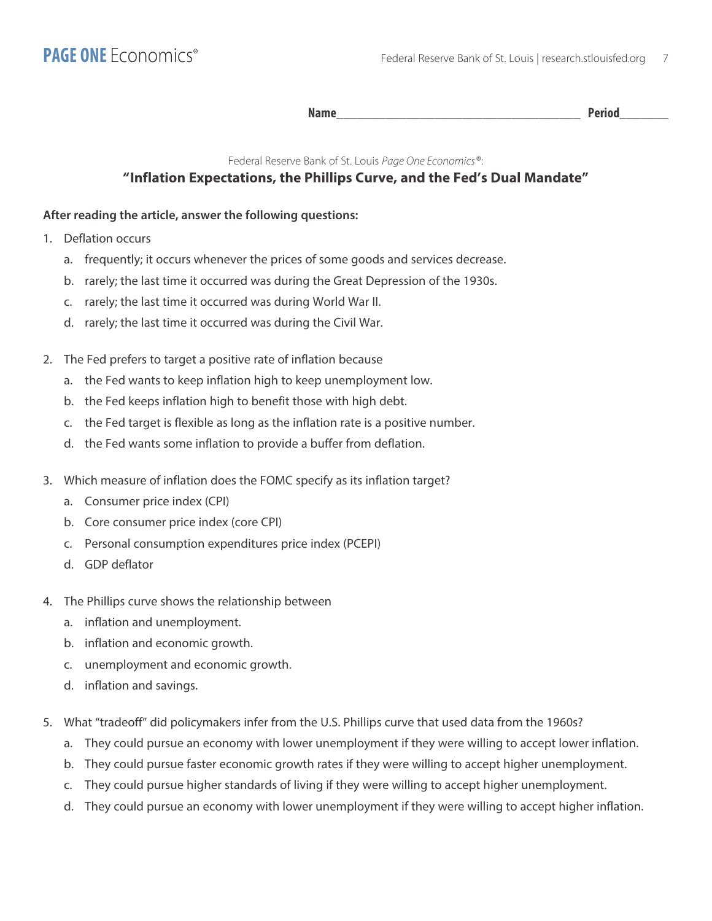Name **Name** 

#### Federal Reserve Bank of St. Louis *Page One Economics*®:

## **"Inflation Expectations, the Phillips Curve, and the Fed's Dual Mandate"**

## **After reading the article, answer the following questions:**

- 1. Deflation occurs
	- a. frequently; it occurs whenever the prices of some goods and services decrease.
	- b. rarely; the last time it occurred was during the Great Depression of the 1930s.
	- c. rarely; the last time it occurred was during World War II.
	- d. rarely; the last time it occurred was during the Civil War.
- 2. The Fed prefers to target a positive rate of inflation because
	- a. the Fed wants to keep inflation high to keep unemployment low.
	- b. the Fed keeps inflation high to benefit those with high debt.
	- c. the Fed target is flexible as long as the inflation rate is a positive number.
	- d. the Fed wants some inflation to provide a buffer from deflation.
- 3. Which measure of inflation does the FOMC specify as its inflation target?
	- a. Consumer price index (CPI)
	- b. Core consumer price index (core CPI)
	- c. Personal consumption expenditures price index (PCEPI)
	- d. GDP deflator
- 4. The Phillips curve shows the relationship between
	- a. inflation and unemployment.
	- b. inflation and economic growth.
	- c. unemployment and economic growth.
	- d. inflation and savings.
- 5. What "tradeoff" did policymakers infer from the U.S. Phillips curve that used data from the 1960s?
	- a. They could pursue an economy with lower unemployment if they were willing to accept lower inflation.
	- b. They could pursue faster economic growth rates if they were willing to accept higher unemployment.
	- c. They could pursue higher standards of living if they were willing to accept higher unemployment.
	- d. They could pursue an economy with lower unemployment if they were willing to accept higher inflation.